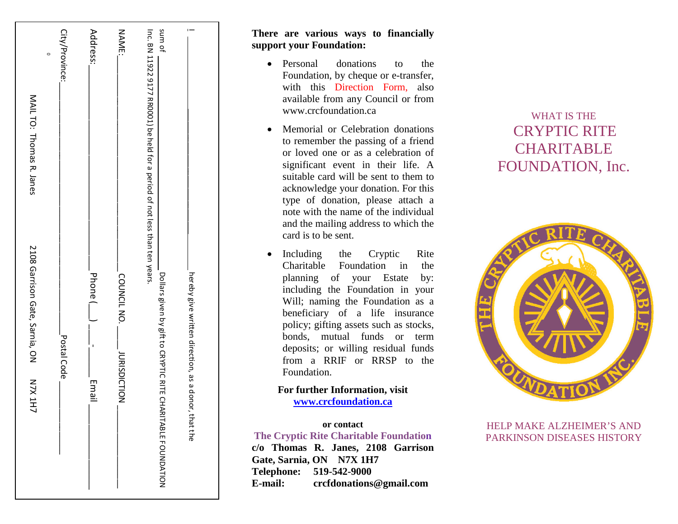| $\circ$<br>MAIL TO: Thomas R. Janes              | City/Province: | Address:                 | <b>NAME:</b>                      | sum of<br>Inc. BN 11922 9177 RR0001) be held for a period of not less than ten years. |                                                     |
|--------------------------------------------------|----------------|--------------------------|-----------------------------------|---------------------------------------------------------------------------------------|-----------------------------------------------------|
| 2108 Garrison Gate, Sarnia, ON<br><b>N7X 1H7</b> | Postal Code    | <br>  Phone (<br>Email _ | COUNCIL NO.<br><b>URISDICTION</b> | Dollars given by gift to CRYPTIC RITE CHARITABLE FOUNDATION                           | hereby give written direction, as a donor, that the |

# **There are various ways to financially support your Foundation:**

- Personal donations to the Foundation , by cheque or e -transfer, with this Direction Form, also available from any Council or from www.crcfoundation.ca
- Memorial or Celebration donations to remember the passing of a friend or loved one or as a celebration of significant event in their life. A suitable card will be sent to them to acknowledge your donation. For this type of donation, please attach a note with the name of the individual and the mailing address to which the card is to be sent.
- Including the Cryptic Rite Charitable Foundation in the planning of your Estate by: including the Foundation in your Will; naming the Foundation as a beneficiary of a life insurance policy; gifting assets such as stocks, bonds, mutual funds or term deposits; or willing residual funds from a RRIF or RRSP to the Foundation.

# **For further Information, visit [www.crcfoundation.ca](http://www.crcfoundation.ca/)**

#### **or contact The Cryptic Rite Charitable Foundatio n**

**c/o Thomas R. Janes, 2108 Garrison Gate, Sarnia, ON N7X 1H7 Telephone: 519 -542 -9000**  E-mail: **-mail: crcfdonations@gmail.com**

# WHAT IS THE CRYPTIC RITE **CHARITABLE** FOUNDATION, Inc.



HELP MAKE ALZHEIMER'S AND PARKINSON DISEASES HISTORY